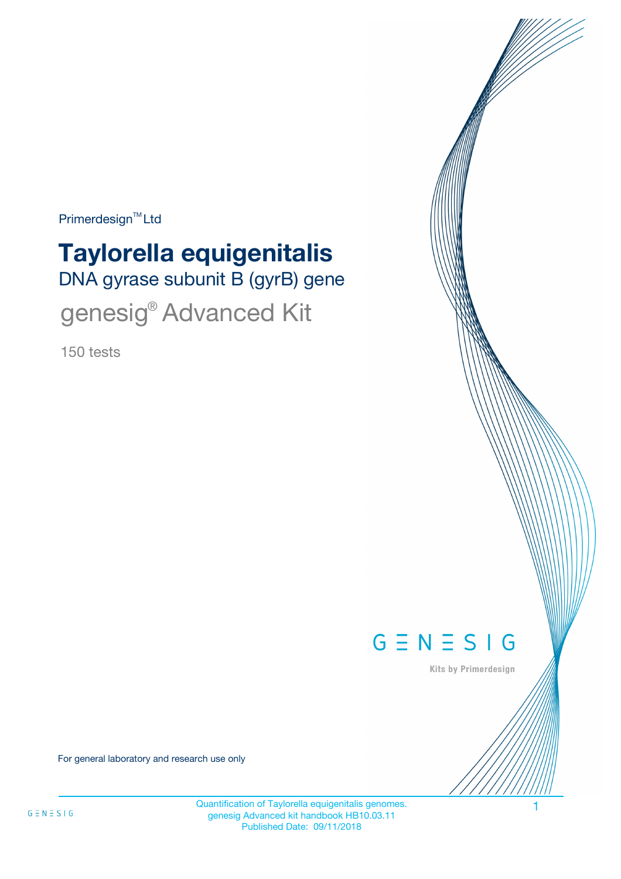$Primerdesign^{\text{TM}}$ Ltd

# DNA gyrase subunit B (gyrB) gene **Taylorella equigenitalis** genesig® Advanced Kit

150 tests



Kits by Primerdesign

For general laboratory and research use only

Quantification of Taylorella equigenitalis genomes. 1 genesig Advanced kit handbook HB10.03.11 Published Date: 09/11/2018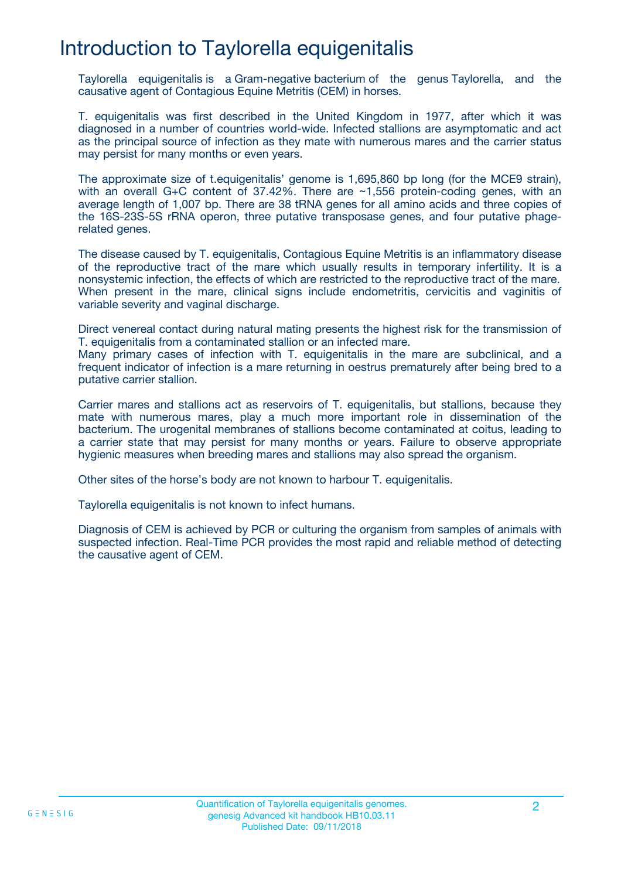## Introduction to Taylorella equigenitalis

Taylorella equigenitalis is a Gram-negative bacterium of the genus Taylorella, and the causative agent of Contagious Equine Metritis (CEM) in horses.

T. equigenitalis was first described in the United Kingdom in 1977, after which it was diagnosed in a number of countries world-wide. Infected stallions are asymptomatic and act as the principal source of infection as they mate with numerous mares and the carrier status may persist for many months or even years.

The approximate size of t.equigenitalis' genome is 1,695,860 bp long (for the MCE9 strain), with an overall G+C content of 37.42%. There are ~1,556 protein-coding genes, with an average length of 1,007 bp. There are 38 tRNA genes for all amino acids and three copies of the 16S-23S-5S rRNA operon, three putative transposase genes, and four putative phagerelated genes.

The disease caused by T. equigenitalis, Contagious Equine Metritis is an inflammatory disease of the reproductive tract of the mare which usually results in temporary infertility. It is a nonsystemic infection, the effects of which are restricted to the reproductive tract of the mare. When present in the mare, clinical signs include endometritis, cervicitis and vaginitis of variable severity and vaginal discharge.

Direct venereal contact during natural mating presents the highest risk for the transmission of T. equigenitalis from a contaminated stallion or an infected mare.

Many primary cases of infection with T. equigenitalis in the mare are subclinical, and a frequent indicator of infection is a mare returning in oestrus prematurely after being bred to a putative carrier stallion.

Carrier mares and stallions act as reservoirs of T. equigenitalis, but stallions, because they mate with numerous mares, play a much more important role in dissemination of the bacterium. The urogenital membranes of stallions become contaminated at coitus, leading to a carrier state that may persist for many months or years. Failure to observe appropriate hygienic measures when breeding mares and stallions may also spread the organism.

Other sites of the horse's body are not known to harbour T. equigenitalis.

Taylorella equigenitalis is not known to infect humans.

Diagnosis of CEM is achieved by PCR or culturing the organism from samples of animals with suspected infection. Real-Time PCR provides the most rapid and reliable method of detecting the causative agent of CEM.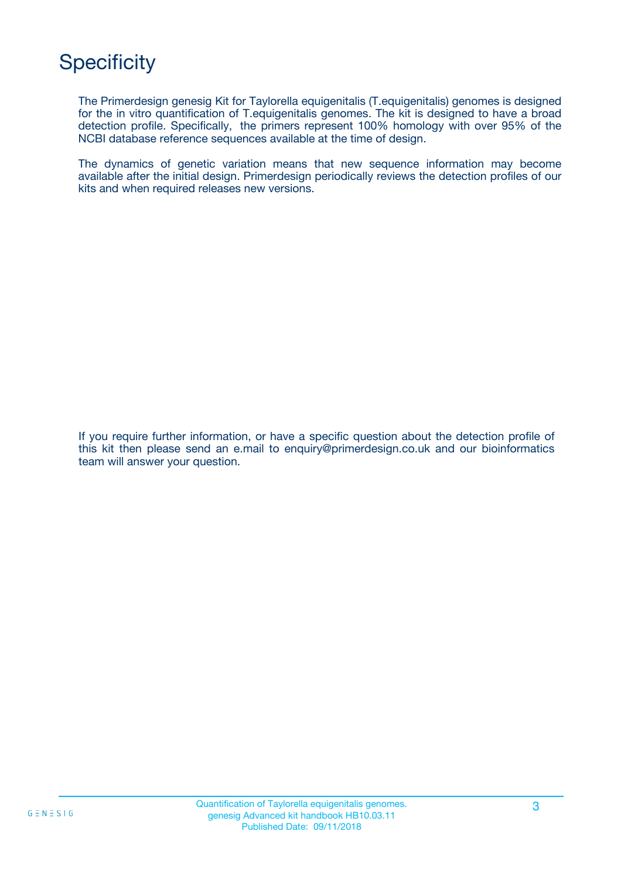## **Specificity**

The Primerdesign genesig Kit for Taylorella equigenitalis (T.equigenitalis) genomes is designed for the in vitro quantification of T.equigenitalis genomes. The kit is designed to have a broad detection profile. Specifically, the primers represent 100% homology with over 95% of the NCBI database reference sequences available at the time of design.

The dynamics of genetic variation means that new sequence information may become available after the initial design. Primerdesign periodically reviews the detection profiles of our kits and when required releases new versions.

If you require further information, or have a specific question about the detection profile of this kit then please send an e.mail to enquiry@primerdesign.co.uk and our bioinformatics team will answer your question.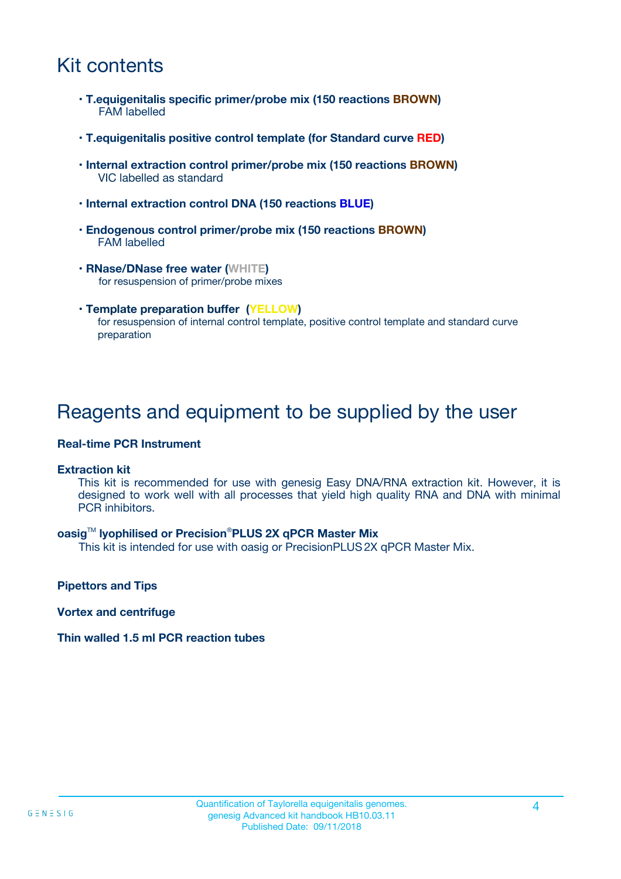## Kit contents

- **T.equigenitalis specific primer/probe mix (150 reactions BROWN)** FAM labelled
- **T.equigenitalis positive control template (for Standard curve RED)**
- **Internal extraction control primer/probe mix (150 reactions BROWN)** VIC labelled as standard
- **Internal extraction control DNA (150 reactions BLUE)**
- **Endogenous control primer/probe mix (150 reactions BROWN)** FAM labelled
- **RNase/DNase free water (WHITE)** for resuspension of primer/probe mixes
- **Template preparation buffer (YELLOW)** for resuspension of internal control template, positive control template and standard curve preparation

### Reagents and equipment to be supplied by the user

#### **Real-time PCR Instrument**

#### **Extraction kit**

This kit is recommended for use with genesig Easy DNA/RNA extraction kit. However, it is designed to work well with all processes that yield high quality RNA and DNA with minimal PCR inhibitors.

#### **oasig**TM **lyophilised or Precision**®**PLUS 2X qPCR Master Mix**

This kit is intended for use with oasig or PrecisionPLUS2X qPCR Master Mix.

**Pipettors and Tips**

**Vortex and centrifuge**

#### **Thin walled 1.5 ml PCR reaction tubes**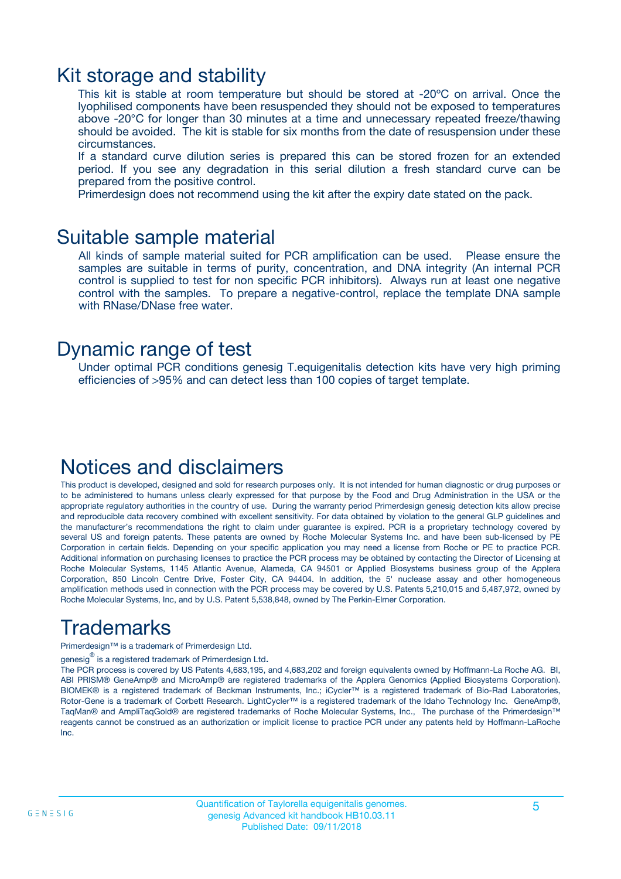### Kit storage and stability

This kit is stable at room temperature but should be stored at -20ºC on arrival. Once the lyophilised components have been resuspended they should not be exposed to temperatures above -20°C for longer than 30 minutes at a time and unnecessary repeated freeze/thawing should be avoided. The kit is stable for six months from the date of resuspension under these circumstances.

If a standard curve dilution series is prepared this can be stored frozen for an extended period. If you see any degradation in this serial dilution a fresh standard curve can be prepared from the positive control.

Primerdesign does not recommend using the kit after the expiry date stated on the pack.

### Suitable sample material

All kinds of sample material suited for PCR amplification can be used. Please ensure the samples are suitable in terms of purity, concentration, and DNA integrity (An internal PCR control is supplied to test for non specific PCR inhibitors). Always run at least one negative control with the samples. To prepare a negative-control, replace the template DNA sample with RNase/DNase free water.

### Dynamic range of test

Under optimal PCR conditions genesig T.equigenitalis detection kits have very high priming efficiencies of >95% and can detect less than 100 copies of target template.

### Notices and disclaimers

This product is developed, designed and sold for research purposes only. It is not intended for human diagnostic or drug purposes or to be administered to humans unless clearly expressed for that purpose by the Food and Drug Administration in the USA or the appropriate regulatory authorities in the country of use. During the warranty period Primerdesign genesig detection kits allow precise and reproducible data recovery combined with excellent sensitivity. For data obtained by violation to the general GLP guidelines and the manufacturer's recommendations the right to claim under guarantee is expired. PCR is a proprietary technology covered by several US and foreign patents. These patents are owned by Roche Molecular Systems Inc. and have been sub-licensed by PE Corporation in certain fields. Depending on your specific application you may need a license from Roche or PE to practice PCR. Additional information on purchasing licenses to practice the PCR process may be obtained by contacting the Director of Licensing at Roche Molecular Systems, 1145 Atlantic Avenue, Alameda, CA 94501 or Applied Biosystems business group of the Applera Corporation, 850 Lincoln Centre Drive, Foster City, CA 94404. In addition, the 5' nuclease assay and other homogeneous amplification methods used in connection with the PCR process may be covered by U.S. Patents 5,210,015 and 5,487,972, owned by Roche Molecular Systems, Inc, and by U.S. Patent 5,538,848, owned by The Perkin-Elmer Corporation.

## Trademarks

Primerdesign™ is a trademark of Primerdesign Ltd.

genesig $^\circledR$  is a registered trademark of Primerdesign Ltd.

The PCR process is covered by US Patents 4,683,195, and 4,683,202 and foreign equivalents owned by Hoffmann-La Roche AG. BI, ABI PRISM® GeneAmp® and MicroAmp® are registered trademarks of the Applera Genomics (Applied Biosystems Corporation). BIOMEK® is a registered trademark of Beckman Instruments, Inc.; iCycler™ is a registered trademark of Bio-Rad Laboratories, Rotor-Gene is a trademark of Corbett Research. LightCycler™ is a registered trademark of the Idaho Technology Inc. GeneAmp®, TaqMan® and AmpliTaqGold® are registered trademarks of Roche Molecular Systems, Inc., The purchase of the Primerdesign™ reagents cannot be construed as an authorization or implicit license to practice PCR under any patents held by Hoffmann-LaRoche Inc.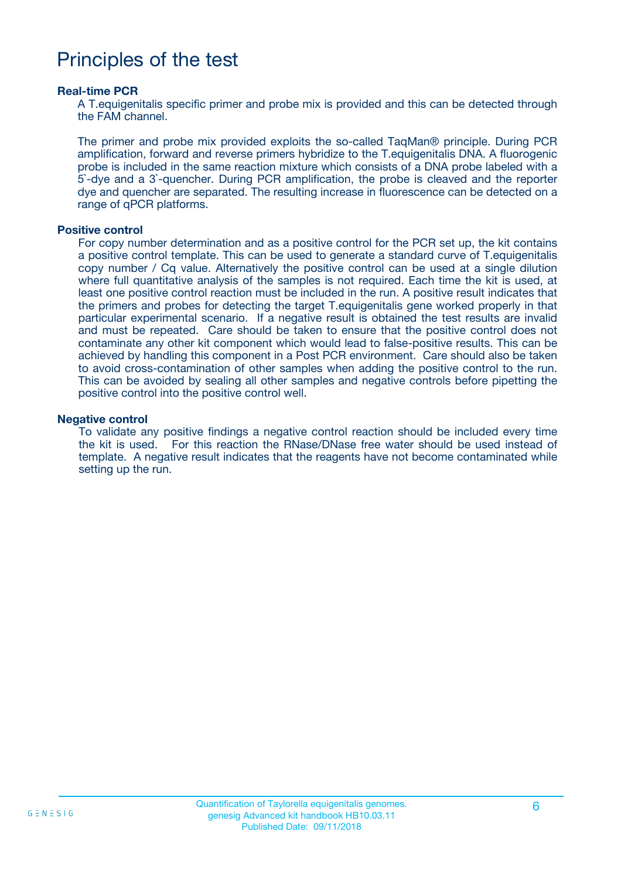## Principles of the test

#### **Real-time PCR**

A T.equigenitalis specific primer and probe mix is provided and this can be detected through the FAM channel.

The primer and probe mix provided exploits the so-called TaqMan® principle. During PCR amplification, forward and reverse primers hybridize to the T.equigenitalis DNA. A fluorogenic probe is included in the same reaction mixture which consists of a DNA probe labeled with a 5`-dye and a 3`-quencher. During PCR amplification, the probe is cleaved and the reporter dye and quencher are separated. The resulting increase in fluorescence can be detected on a range of qPCR platforms.

#### **Positive control**

For copy number determination and as a positive control for the PCR set up, the kit contains a positive control template. This can be used to generate a standard curve of T.equigenitalis copy number / Cq value. Alternatively the positive control can be used at a single dilution where full quantitative analysis of the samples is not required. Each time the kit is used, at least one positive control reaction must be included in the run. A positive result indicates that the primers and probes for detecting the target T.equigenitalis gene worked properly in that particular experimental scenario. If a negative result is obtained the test results are invalid and must be repeated. Care should be taken to ensure that the positive control does not contaminate any other kit component which would lead to false-positive results. This can be achieved by handling this component in a Post PCR environment. Care should also be taken to avoid cross-contamination of other samples when adding the positive control to the run. This can be avoided by sealing all other samples and negative controls before pipetting the positive control into the positive control well.

#### **Negative control**

To validate any positive findings a negative control reaction should be included every time the kit is used. For this reaction the RNase/DNase free water should be used instead of template. A negative result indicates that the reagents have not become contaminated while setting up the run.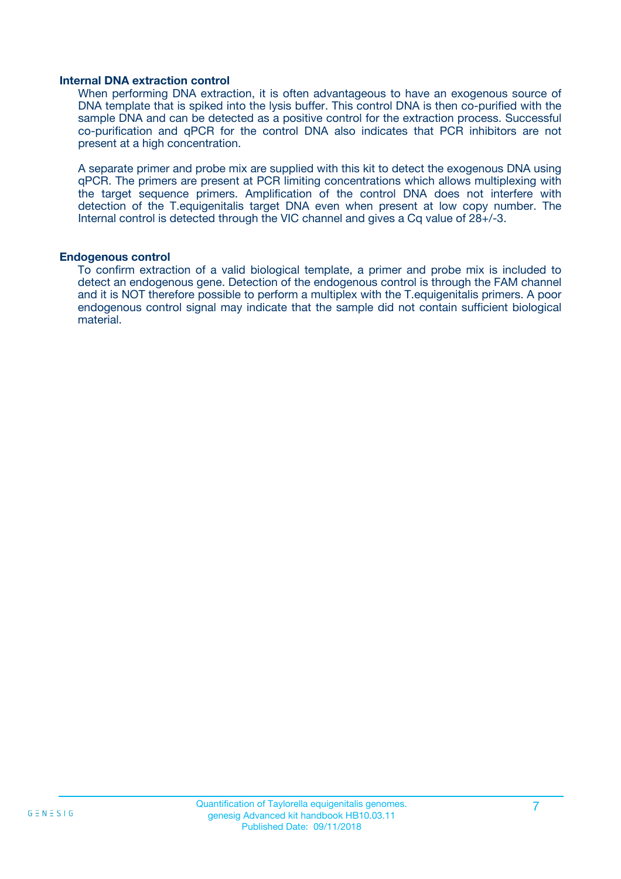#### **Internal DNA extraction control**

When performing DNA extraction, it is often advantageous to have an exogenous source of DNA template that is spiked into the lysis buffer. This control DNA is then co-purified with the sample DNA and can be detected as a positive control for the extraction process. Successful co-purification and qPCR for the control DNA also indicates that PCR inhibitors are not present at a high concentration.

A separate primer and probe mix are supplied with this kit to detect the exogenous DNA using qPCR. The primers are present at PCR limiting concentrations which allows multiplexing with the target sequence primers. Amplification of the control DNA does not interfere with detection of the T.equigenitalis target DNA even when present at low copy number. The Internal control is detected through the VIC channel and gives a Cq value of 28+/-3.

#### **Endogenous control**

To confirm extraction of a valid biological template, a primer and probe mix is included to detect an endogenous gene. Detection of the endogenous control is through the FAM channel and it is NOT therefore possible to perform a multiplex with the T.equigenitalis primers. A poor endogenous control signal may indicate that the sample did not contain sufficient biological material.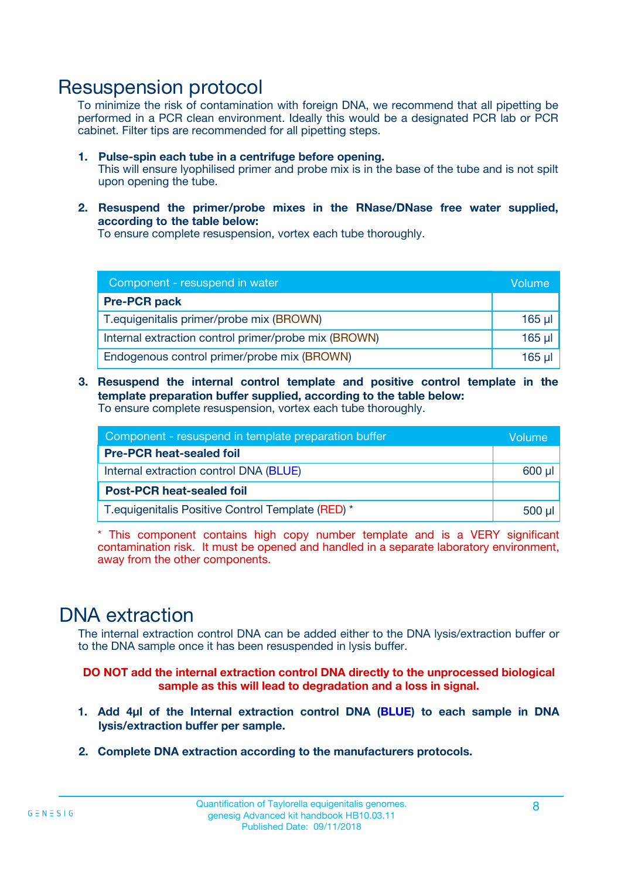### Resuspension protocol

To minimize the risk of contamination with foreign DNA, we recommend that all pipetting be performed in a PCR clean environment. Ideally this would be a designated PCR lab or PCR cabinet. Filter tips are recommended for all pipetting steps.

- **1. Pulse-spin each tube in a centrifuge before opening.** This will ensure lyophilised primer and probe mix is in the base of the tube and is not spilt upon opening the tube.
- **2. Resuspend the primer/probe mixes in the RNase/DNase free water supplied, according to the table below:**

To ensure complete resuspension, vortex each tube thoroughly.

| Component - resuspend in water                       |          |  |
|------------------------------------------------------|----------|--|
| <b>Pre-PCR pack</b>                                  |          |  |
| T. equigenitalis primer/probe mix (BROWN)            | $165$ µl |  |
| Internal extraction control primer/probe mix (BROWN) | $165$ µl |  |
| Endogenous control primer/probe mix (BROWN)          | 165 µl   |  |

**3. Resuspend the internal control template and positive control template in the template preparation buffer supplied, according to the table below:** To ensure complete resuspension, vortex each tube thoroughly.

| Component - resuspend in template preparation buffer |          |  |  |
|------------------------------------------------------|----------|--|--|
| <b>Pre-PCR heat-sealed foil</b>                      |          |  |  |
| Internal extraction control DNA (BLUE)               |          |  |  |
| <b>Post-PCR heat-sealed foil</b>                     |          |  |  |
| T. equigenitalis Positive Control Template (RED) *   | $500$ µl |  |  |

\* This component contains high copy number template and is a VERY significant contamination risk. It must be opened and handled in a separate laboratory environment, away from the other components.

### DNA extraction

The internal extraction control DNA can be added either to the DNA lysis/extraction buffer or to the DNA sample once it has been resuspended in lysis buffer.

**DO NOT add the internal extraction control DNA directly to the unprocessed biological sample as this will lead to degradation and a loss in signal.**

- **1. Add 4µl of the Internal extraction control DNA (BLUE) to each sample in DNA lysis/extraction buffer per sample.**
- **2. Complete DNA extraction according to the manufacturers protocols.**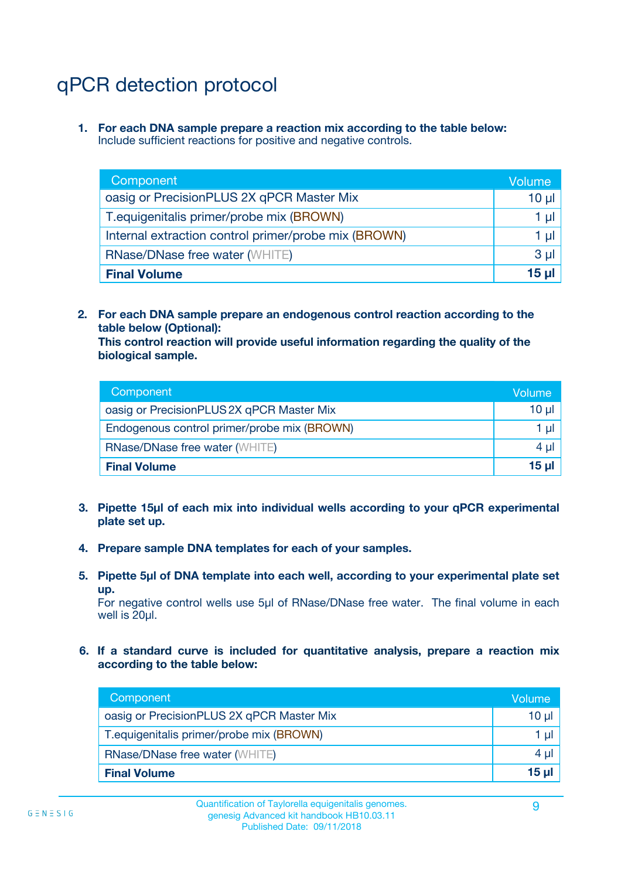## qPCR detection protocol

**1. For each DNA sample prepare a reaction mix according to the table below:** Include sufficient reactions for positive and negative controls.

| Component                                            | Volume   |
|------------------------------------------------------|----------|
| oasig or PrecisionPLUS 2X qPCR Master Mix            | 10 $\mu$ |
| T. equigenitalis primer/probe mix (BROWN)            | 1 µI l   |
| Internal extraction control primer/probe mix (BROWN) | 1 µI I   |
| <b>RNase/DNase free water (WHITE)</b>                | $3 \mu$  |
| <b>Final Volume</b>                                  | 15 ul    |

**2. For each DNA sample prepare an endogenous control reaction according to the table below (Optional):**

**This control reaction will provide useful information regarding the quality of the biological sample.**

| Component                                   | Volume          |
|---------------------------------------------|-----------------|
| oasig or PrecisionPLUS 2X qPCR Master Mix   | $10 \mu$        |
| Endogenous control primer/probe mix (BROWN) | 1 µI            |
| <b>RNase/DNase free water (WHITE)</b>       | 4 µl            |
| <b>Final Volume</b>                         | 15 <sub>µ</sub> |

- **3. Pipette 15µl of each mix into individual wells according to your qPCR experimental plate set up.**
- **4. Prepare sample DNA templates for each of your samples.**
- **5. Pipette 5µl of DNA template into each well, according to your experimental plate set up.**

For negative control wells use 5µl of RNase/DNase free water. The final volume in each well is 20ul.

**6. If a standard curve is included for quantitative analysis, prepare a reaction mix according to the table below:**

| Component                                 | Volume   |
|-------------------------------------------|----------|
| oasig or PrecisionPLUS 2X qPCR Master Mix | $10 \mu$ |
| T.equigenitalis primer/probe mix (BROWN)  | 1 µI -   |
| <b>RNase/DNase free water (WHITE)</b>     | 4 µl     |
| <b>Final Volume</b>                       | 15 µl    |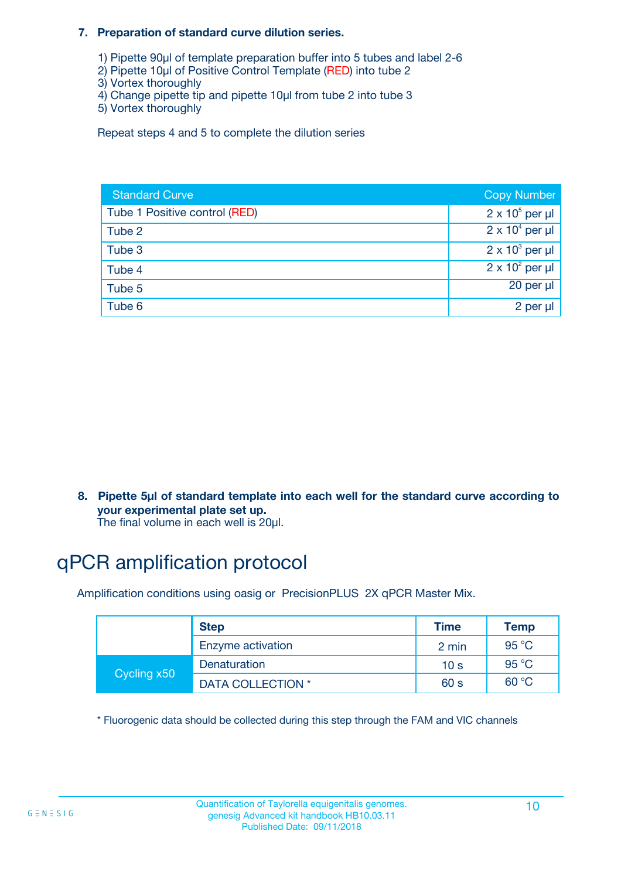#### **7. Preparation of standard curve dilution series.**

- 1) Pipette 90µl of template preparation buffer into 5 tubes and label 2-6
- 2) Pipette 10µl of Positive Control Template (RED) into tube 2
- 3) Vortex thoroughly
- 4) Change pipette tip and pipette 10µl from tube 2 into tube 3
- 5) Vortex thoroughly

Repeat steps 4 and 5 to complete the dilution series

| <b>Standard Curve</b>         | <b>Copy Number</b>     |
|-------------------------------|------------------------|
| Tube 1 Positive control (RED) | $2 \times 10^5$ per µl |
| Tube 2                        | $2 \times 10^4$ per µl |
| Tube 3                        | $2 \times 10^3$ per µl |
| Tube 4                        | $2 \times 10^2$ per µl |
| Tube 5                        | 20 per µl              |
| Tube 6                        | 2 per µl               |

**8. Pipette 5µl of standard template into each well for the standard curve according to your experimental plate set up.**

#### The final volume in each well is 20µl.

## qPCR amplification protocol

Amplification conditions using oasig or PrecisionPLUS 2X qPCR Master Mix.

|             | <b>Step</b>       | <b>Time</b>     | Temp    |
|-------------|-------------------|-----------------|---------|
|             | Enzyme activation | 2 min           | 95 °C   |
| Cycling x50 | Denaturation      | 10 <sub>s</sub> | 95 $°C$ |
|             | DATA COLLECTION * | 60 s            | 60 °C   |

\* Fluorogenic data should be collected during this step through the FAM and VIC channels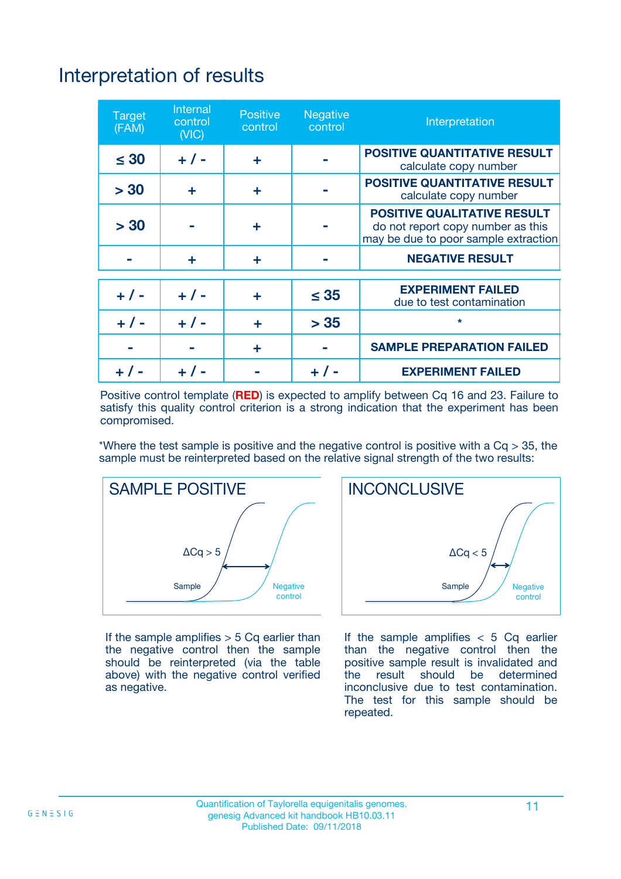## Interpretation of results

| <b>Target</b><br>(FAM) | <b>Internal</b><br>control<br>(NIC) | <b>Positive</b><br>control | <b>Negative</b><br>control | Interpretation                                                                                                  |
|------------------------|-------------------------------------|----------------------------|----------------------------|-----------------------------------------------------------------------------------------------------------------|
| $\leq 30$              | $+ 1 -$                             | ÷                          |                            | <b>POSITIVE QUANTITATIVE RESULT</b><br>calculate copy number                                                    |
| > 30                   | ٠                                   | ÷                          |                            | <b>POSITIVE QUANTITATIVE RESULT</b><br>calculate copy number                                                    |
| > 30                   |                                     | ÷                          |                            | <b>POSITIVE QUALITATIVE RESULT</b><br>do not report copy number as this<br>may be due to poor sample extraction |
|                        | ÷                                   | ÷                          |                            | <b>NEGATIVE RESULT</b>                                                                                          |
| $+ 1 -$                | $+ 1 -$                             | ÷                          | $\leq$ 35                  | <b>EXPERIMENT FAILED</b><br>due to test contamination                                                           |
| $+$ / -                | $+ 1 -$                             | ÷                          | > 35                       | $\star$                                                                                                         |
|                        |                                     | ÷                          |                            | <b>SAMPLE PREPARATION FAILED</b>                                                                                |
|                        |                                     |                            | $+$ /                      | <b>EXPERIMENT FAILED</b>                                                                                        |

Positive control template (**RED**) is expected to amplify between Cq 16 and 23. Failure to satisfy this quality control criterion is a strong indication that the experiment has been compromised.

\*Where the test sample is positive and the negative control is positive with a  $Ca > 35$ , the sample must be reinterpreted based on the relative signal strength of the two results:



If the sample amplifies  $> 5$  Cq earlier than the negative control then the sample should be reinterpreted (via the table above) with the negative control verified as negative.



If the sample amplifies  $< 5$  Cq earlier than the negative control then the positive sample result is invalidated and<br>the result should be determined  $the$  result should be inconclusive due to test contamination. The test for this sample should be repeated.